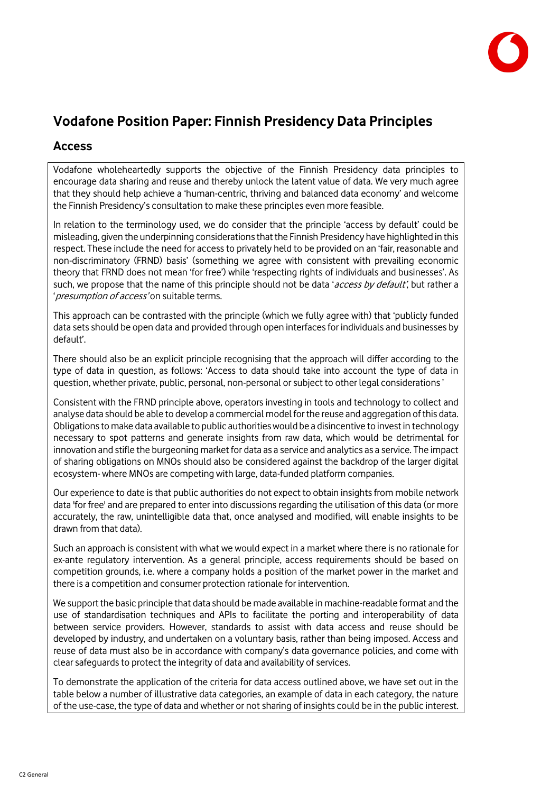

# **Vodafone Position Paper: Finnish Presidency Data Principles**

#### **Access**

Vodafone wholeheartedly supports the objective of the Finnish Presidency data principles to encourage data sharing and reuse and thereby unlock the latent value of data. We very much agree that they should help achieve a 'human-centric, thriving and balanced data economy' and welcome the Finnish Presidency's consultation to make these principles even more feasible.

In relation to the terminology used, we do consider that the principle 'access by default' could be misleading, given the underpinning considerations that the Finnish Presidency have highlighted in this respect. These include the need for access to privately held to be provided on an 'fair, reasonable and non-discriminatory (FRND) basis' (something we agree with consistent with prevailing economic theory that FRND does not mean 'for free') while 'respecting rights of individuals and businesses'. As such, we propose that the name of this principle should not be data 'access by default', but rather a ' presumption of access' on suitable terms.

This approach can be contrasted with the principle (which we fully agree with) that 'publicly funded data sets should be open data and provided through open interfaces for individuals and businesses by default'.

There should also be an explicit principle recognising that the approach will differ according to the type of data in question, as follows: 'Access to data should take into account the type of data in question, whether private, public, personal, non-personal or subject to other legal considerations '

Consistent with the FRND principle above, operators investing in tools and technology to collect and analyse data should be able to develop a commercial model for the reuse and aggregation of this data. Obligations to make data available to public authorities would be a disincentive to invest in technology necessary to spot patterns and generate insights from raw data, which would be detrimental for innovation and stifle the burgeoning market for data as a service and analytics as a service. The impact of sharing obligations on MNOs should also be considered against the backdrop of the larger digital ecosystem- where MNOs are competing with large, data-funded platform companies.

Our experience to date is that public authorities do not expect to obtain insights from mobile network data 'for free' and are prepared to enter into discussions regarding the utilisation of this data (or more accurately, the raw, unintelligible data that, once analysed and modified, will enable insights to be drawn from that data).

Such an approach is consistent with what we would expect in a market where there is no rationale for ex-ante regulatory intervention. As a general principle, access requirements should be based on competition grounds, i.e. where a company holds a position of the market power in the market and there is a competition and consumer protection rationale for intervention.

We support the basic principle that data should be made available in machine-readable format and the use of standardisation techniques and APIs to facilitate the porting and interoperability of data between service providers. However, standards to assist with data access and reuse should be developed by industry, and undertaken on a voluntary basis, rather than being imposed. Access and reuse of data must also be in accordance with company's data governance policies, and come with clear safeguards to protect the integrity of data and availability of services.

To demonstrate the application of the criteria for data access outlined above, we have set out in the table below a number of illustrative data categories, an example of data in each category, the nature of the use-case, the type of data and whether or not sharing of insights could be in the public interest.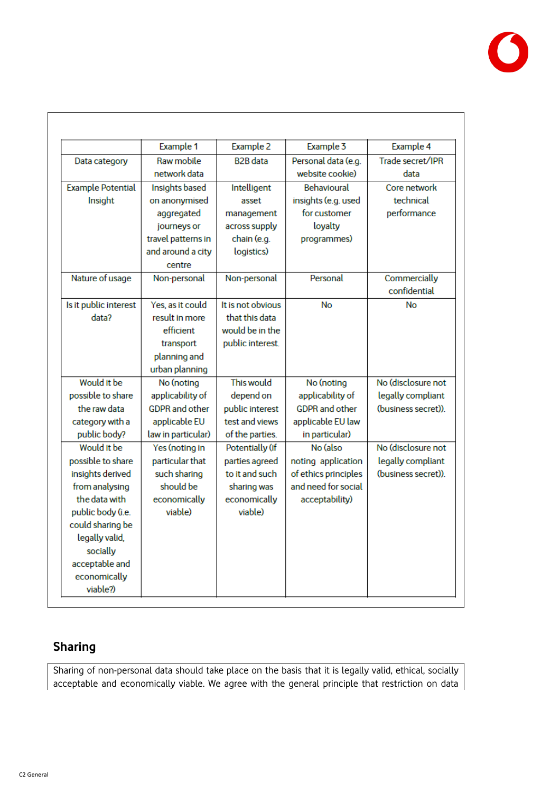

|                          | Example 1             | Example 2         | Example 3             | Example 4           |
|--------------------------|-----------------------|-------------------|-----------------------|---------------------|
| Data category            | Raw mobile            | <b>B2B</b> data   | Personal data (e.g.   | Trade secret/IPR    |
|                          | network data          |                   | website cookie)       | data                |
| <b>Example Potential</b> | Insights based        | Intelligent       | <b>Behavioural</b>    | Core network        |
| Insight                  | on anonymised         | asset             | insights (e.g. used   | technical           |
|                          | aggregated            | management        | for customer          | performance         |
|                          | journeys or           | across supply     | loyalty               |                     |
|                          | travel patterns in    | chain (e.g.       | programmes)           |                     |
|                          | and around a city     | logistics)        |                       |                     |
|                          | centre                |                   |                       |                     |
| Nature of usage          | Non-personal          | Non-personal      | Personal              | Commercially        |
|                          |                       |                   |                       | confidential        |
| Is it public interest    | Yes, as it could      | It is not obvious | No                    | No                  |
| data?                    | result in more        | that this data    |                       |                     |
|                          | efficient             | would be in the   |                       |                     |
|                          | transport             | public interest.  |                       |                     |
|                          | planning and          |                   |                       |                     |
|                          | urban planning        |                   |                       |                     |
| Would it be              | No (noting            | This would        | No (noting            | No (disclosure not  |
| possible to share        | applicability of      | depend on         | applicability of      | legally compliant   |
| the raw data             | <b>GDPR</b> and other | public interest   | <b>GDPR</b> and other | (business secret)). |
| category with a          | applicable EU         | test and views    | applicable EU law     |                     |
| public body?             | law in particular)    | of the parties.   | in particular)        |                     |
| Would it be              | Yes (noting in        | Potentially (if   | No (also              | No (disclosure not  |
| possible to share        | particular that       | parties agreed    | noting application    | legally compliant   |
| insights derived         | such sharing          | to it and such    | of ethics principles  | (business secret)). |
| from analysing           | should be             | sharing was       | and need for social   |                     |
| the data with            | economically          | economically      | acceptability)        |                     |
| public body (i.e.        | viable)               | viable)           |                       |                     |
| could sharing be         |                       |                   |                       |                     |
| legally valid,           |                       |                   |                       |                     |
| socially                 |                       |                   |                       |                     |
| acceptable and           |                       |                   |                       |                     |
| economically             |                       |                   |                       |                     |
| viable?)                 |                       |                   |                       |                     |

## **Sharing**

Sharing of non-personal data should take place on the basis that it is legally valid, ethical, socially acceptable and economically viable. We agree with the general principle that restriction on data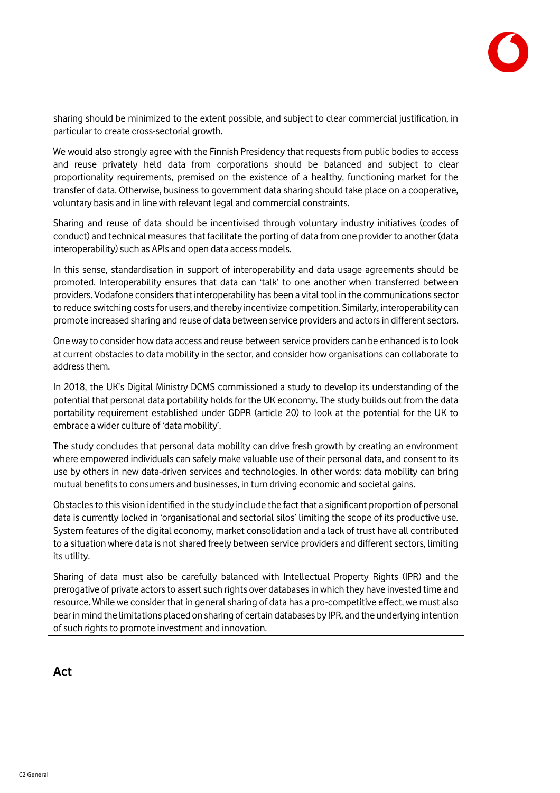

sharing should be minimized to the extent possible, and subject to clear commercial justification, in particular to create cross-sectorial growth.

We would also strongly agree with the Finnish Presidency that requests from public bodies to access and reuse privately held data from corporations should be balanced and subject to clear proportionality requirements, premised on the existence of a healthy, functioning market for the transfer of data. Otherwise, business to government data sharing should take place on a cooperative, voluntary basis and in line with relevant legal and commercial constraints.

Sharing and reuse of data should be incentivised through voluntary industry initiatives (codes of conduct) and technical measures that facilitate the porting of data from one provider to another (data interoperability) such as APIs and open data access models.

In this sense, standardisation in support of interoperability and data usage agreements should be promoted. Interoperability ensures that data can 'talk' to one another when transferred between providers. Vodafone considers that interoperability has been a vital tool in the communications sector to reduce switching costs for users, and thereby incentivize competition. Similarly, interoperability can promote increased sharing and reuse of data between service providers and actors in different sectors.

One way to consider how data access and reuse between service providers can be enhanced is to look at current obstacles to data mobility in the sector, and consider how organisations can collaborate to address them.

In 2018, the UK's Digital Ministry DCMS commissioned a study to develop its understanding of the potential that personal data portability holds for the UK economy. The study builds out from the data portability requirement established under GDPR (article 20) to look at the potential for the UK to embrace a wider culture of 'data mobility'.

The study concludes that personal data mobility can drive fresh growth by creating an environment where empowered individuals can safely make valuable use of their personal data, and consent to its use by others in new data-driven services and technologies. In other words: data mobility can bring mutual benefits to consumers and businesses, in turn driving economic and societal gains.

Obstacles to this vision identified in the study include the fact that a significant proportion of personal data is currently locked in 'organisational and sectorial silos' limiting the scope of its productive use. System features of the digital economy, market consolidation and a lack of trust have all contributed to a situation where data is not shared freely between service providers and different sectors, limiting its utility.

Sharing of data must also be carefully balanced with Intellectual Property Rights (IPR) and the prerogative of private actors to assert such rights over databases in which they have invested time and resource. While we consider that in general sharing of data has a pro-competitive effect, we must also bear in mind the limitations placed on sharing of certain databases by IPR, and the underlying intention of such rights to promote investment and innovation.

#### **Act**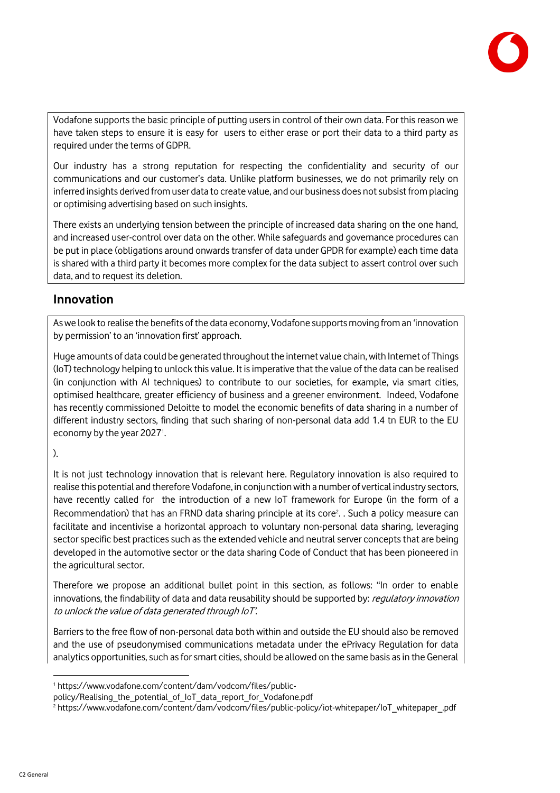

Vodafone supports the basic principle of putting users in control of their own data. For this reason we have taken steps to ensure it is easy for users to either erase or port their data to a third party as required under the terms of GDPR.

Our industry has a strong reputation for respecting the confidentiality and security of our communications and our customer's data. Unlike platform businesses, we do not primarily rely on inferred insights derived from user data to create value, and our business does not subsist from placing or optimising advertising based on such insights.

There exists an underlying tension between the principle of increased data sharing on the one hand, and increased user-control over data on the other. While safeguards and governance procedures can be put in place (obligations around onwards transfer of data under GPDR for example) each time data is shared with a third party it becomes more complex for the data subject to assert control over such data, and to request its deletion.

#### **Innovation**

As we look to realise the benefits of the data economy, Vodafone supports moving from an 'innovation by permission' to an 'innovation first' approach.

Huge amounts of data could be generated throughout the internet value chain, with Internet of Things (IoT) technology helping to unlock this value. It is imperative that the value of the data can be realised (in conjunction with AI techniques) to contribute to our societies, for example, via smart cities, optimised healthcare, greater efficiency of business and a greener environment. Indeed, Vodafone has recently commissioned Deloitte to model the economic benefits of data sharing in a number of different industry sectors, finding that such sharing of non-personal data add 1.4 tn EUR to the EU economy by the year 2027<sup>1</sup>. .

#### ).

It is not just technology innovation that is relevant here. Regulatory innovation is also required to realise this potential and therefore Vodafone, in conjunction with a number of vertical industry sectors, have recently called for the introduction of a new IoT framework for Europe (in the form of a Recommendation) that has an FRND data sharing principle at its core<sup>2</sup>. . Such a policy measure can facilitate and incentivise a horizontal approach to voluntary non-personal data sharing, leveraging sector specific best practices such as the extended vehicle and neutral server concepts that are being developed in the automotive sector or the data sharing Code of Conduct that has been pioneered in the agricultural sector.

Therefore we propose an additional bullet point in this section, as follows: "In order to enable innovations, the findability of data and data reusability should be supported by: regulatory innovation to unlock the value of data generated through IoT'.

Barriers to the free flow of non-personal data both within and outside the EU should also be removed and the use of pseudonymised communications metadata under the ePrivacy Regulation for data analytics opportunities, such as for smart cities, should be allowed on the same basis as in the General

l

<sup>1</sup> https://www.vodafone.com/content/dam/vodcom/files/public-

policy/Realising\_the\_potential\_of\_IoT\_data\_report\_for\_Vodafone.pdf

<sup>2</sup> https://www.vodafone.com/content/dam/vodcom/files/public-policy/iot-whitepaper/IoT\_whitepaper\_.pdf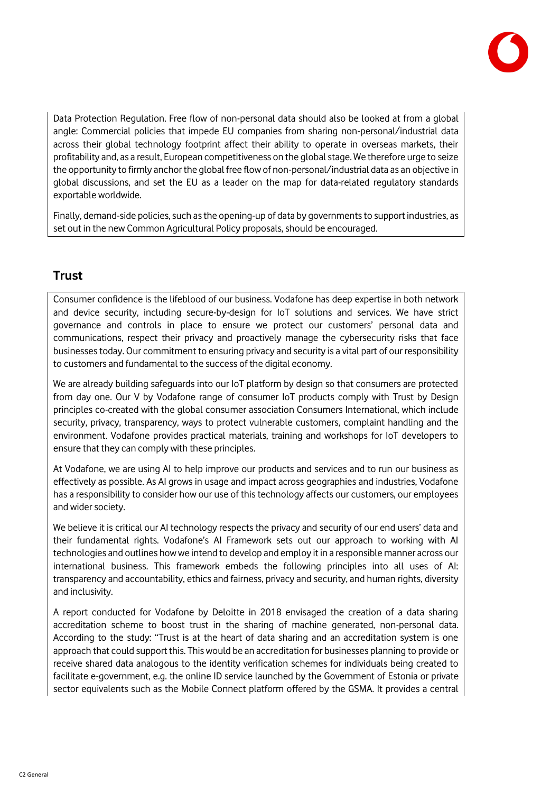

Data Protection Regulation. Free flow of non-personal data should also be looked at from a global angle: Commercial policies that impede EU companies from sharing non-personal/industrial data across their global technology footprint affect their ability to operate in overseas markets, their profitability and, as a result, European competitiveness on the global stage. We therefore urge to seize the opportunity to firmly anchor the global free flow of non-personal/industrial data as an objective in global discussions, and set the EU as a leader on the map for data-related regulatory standards exportable worldwide.

Finally, demand-side policies, such as the opening-up of data by governments to support industries, as set out in the new Common Agricultural Policy proposals, should be encouraged.

### **Trust**

Consumer confidence is the lifeblood of our business. Vodafone has deep expertise in both network and device security, including secure-by-design for IoT solutions and services. We have strict governance and controls in place to ensure we protect our customers' personal data and communications, respect their privacy and proactively manage the cybersecurity risks that face businesses today. Our commitment to ensuring privacy and security is a vital part of our responsibility to customers and fundamental to the success of the digital economy.

We are already building safeguards into our IoT platform by design so that consumers are protected from day one. Our V by Vodafone range of consumer IoT products comply with Trust by Design principles co-created with the global consumer association Consumers International, which include security, privacy, transparency, ways to protect vulnerable customers, complaint handling and the environment. Vodafone provides practical materials, training and workshops for IoT developers to ensure that they can comply with these principles.

At Vodafone, we are using AI to help improve our products and services and to run our business as effectively as possible. As AI grows in usage and impact across geographies and industries, Vodafone has a responsibility to consider how our use of this technology affects our customers, our employees and wider society.

We believe it is critical our AI technology respects the privacy and security of our end users' data and their fundamental rights. Vodafone's AI Framework sets out our approach to working with AI technologies and outlines how we intend to develop and employ it in a responsible manner across our international business. This framework embeds the following principles into all uses of AI: transparency and accountability, ethics and fairness, privacy and security, and human rights, diversity and inclusivity.

A report conducted for Vodafone by Deloitte in 2018 envisaged the creation of a data sharing accreditation scheme to boost trust in the sharing of machine generated, non-personal data. According to the study: "Trust is at the heart of data sharing and an accreditation system is one approach that could support this. This would be an accreditation for businesses planning to provide or receive shared data analogous to the identity verification schemes for individuals being created to facilitate e-government, e.g. the online ID service launched by the Government of Estonia or private sector equivalents such as the Mobile Connect platform offered by the GSMA. It provides a central